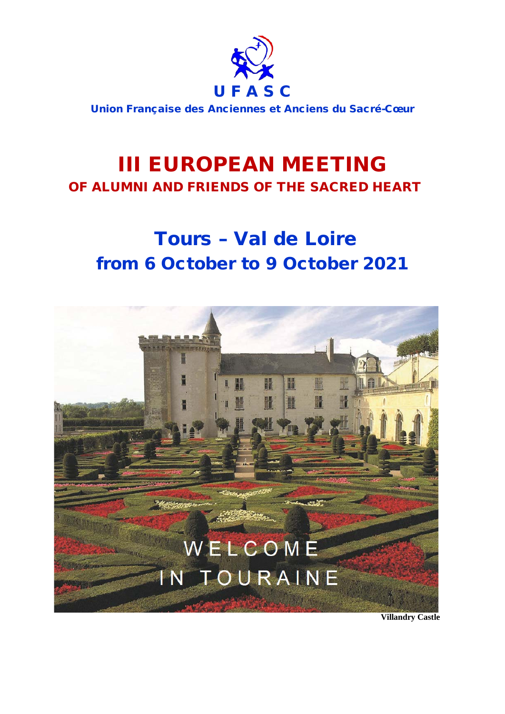

Union Française des Anciennes et Anciens du Sacré-Cœur

# **III EUROPEAN MEETING**<br>OF ALUMNI AND FRIENDS OF THE SACRED HEART

## Tours – Val de Loire from 6 October to 9 October 2021



 **Villandry Castle**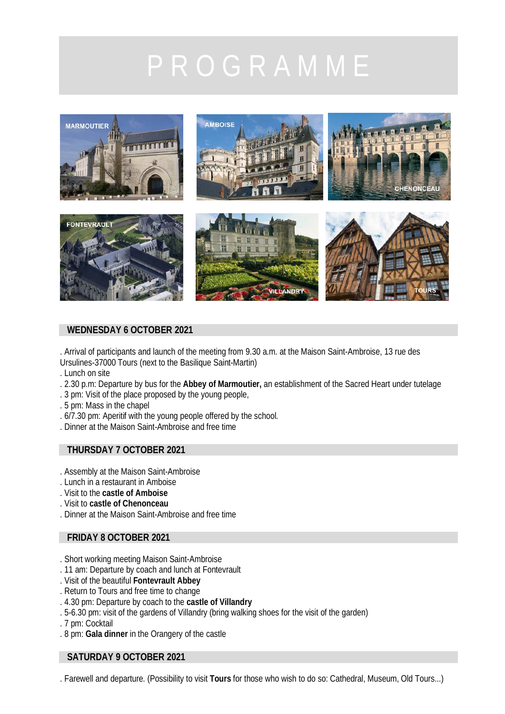

### **WEDNESDAY 6 OCTOBER 2021**

. Arrival of participants and launch of the meeting from 9.30 a.m. at the Maison Saint-Ambroise, 13 rue des Ursulines-37000 Tours (next to the Basilique Saint-Martin)

- . Lunch on site
- . 2.30 p.m: Departure by bus for the **Abbey of Marmoutier,** an establishment of the Sacred Heart under tutelage
- . 3 pm: Visit of the place proposed by the young people,
- . 5 pm: Mass in the chapel
- . 6/7.30 pm: Aperitif with the young people offered by the school.
- . Dinner at the Maison Saint-Ambroise and free time

### **THURSDAY 7 OCTOBER 2021**

- . Assembly at the Maison Saint-Ambroise
- . Lunch in a restaurant in Amboise
- . Visit to the **castle of Amboise**
- . Visit to **castle of Chenonceau**
- . Dinner at the Maison Saint-Ambroise and free time

### **FRIDAY 8 OCTOBER 2021**

- . Short working meeting Maison Saint-Ambroise
- . 11 am: Departure by coach and lunch at Fontevrault
- . Visit of the beautiful **Fontevrault Abbey**
- . Return to Tours and free time to change
- . 4.30 pm: Departure by coach to the **castle of Villandry**
- . 5-6.30 pm: visit of the gardens of Villandry (bring walking shoes for the visit of the garden)
- . 7 pm: Cocktail
- . 8 pm: **Gala dinner** in the Orangery of the castle

### **SATURDAY 9 OCTOBER 2021**

. Farewell and departure. (Possibility to visit **Tours** for those who wish to do so: Cathedral, Museum, Old Tours...)